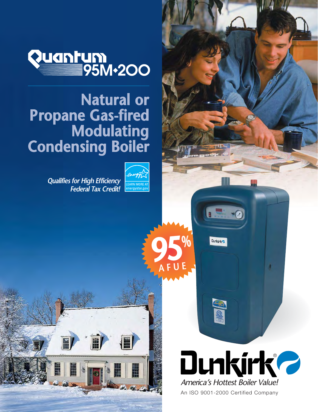

## **Natural or Propane Gas-fired Modulating Condensing Boiler**

**Qualifies for High Efficiency Federal Tax Credit!**



H

**95%**

Dunkirks

**SOF** 

**AFUE**



An ISO 9001-2000 Certified Company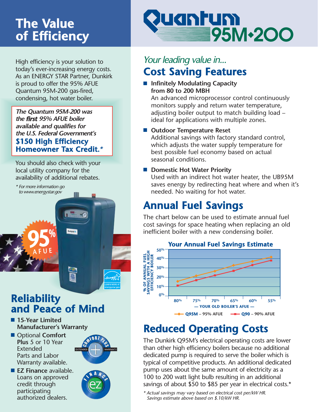# **The Value of Efficiency**

High efficiency is your solution to today's ever-increasing energy costs. As an ENERGY STAR Partner, Dunkirk is proud to offer the 95% AFUE Quantum 95M-200 gas-fired, condensing, hot water boiler.

**The Quantum 95M-200 was the first 95% AFUE boiler available and qualifies for the U.S. Federal Government's \$150 High Efficiency Homeowner Tax Credit.\*** 

You should also check with your local utility company for the availability of additional rebates.

\* For more information go to www.energystar.gov

**95%**

**AFUE**

### **Reliability and Peace of Mind**

IØ

- 15-Year Limited **Manufacturer's Warranty**
- Optional **Comfort Plus** 5 or 10 Year Extended Parts and Labor Warranty available.

■ **EZ Finance** available. Loans on approved credit through participating authorized dealers.



## uantum 95M-200

### **Cost Saving Features** Your leading value in...

■ **Infinitely Modulating Capacity from 80 to 200 MBH**

An advanced microprocessor control continuously monitors supply and return water temperature, adjusting boiler output to match building load – ideal for applications with multiple zones.

#### ■ **Outdoor Temperature Reset**

Additional savings with factory standard control, which adjusts the water supply temperature for best possible fuel economy based on actual seasonal conditions.

■ **Domestic Hot Water Priority** 

Used with an indirect hot water heater, the UB95M saves energy by redirecting heat where and when it's needed. No waiting for hot water.

## **Annual Fuel Savings**

The chart below can be used to estimate annual fuel cost savings for space heating when replacing an old inefficient boiler with a new condensing boiler.



## **Reduced Operating Costs**

The Dunkirk Q95M's electrical operating costs are lower than other high efficiency boilers because no additional dedicated pump is required to serve the boiler which is typical of competitive products. An additional dedicated pump uses about the same amount of electricity as a 100 to 200 watt light bulb resulting in an additional savings of about \$50 to \$85 per year in electrical costs.\*

\* Actual savings may vary based on electrical cost per/kW HR. Savings estimate above based on \$.10/kW HR.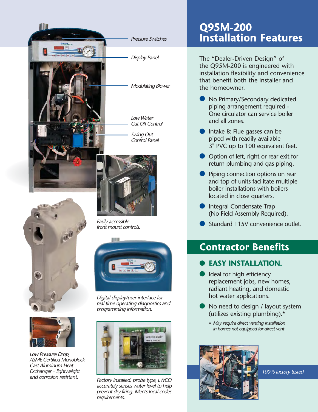





Low Pressure Drop, ASME Certified Monoblock Cast Aluminum Heat Exchanger – lightweight and corrosion resistant.

Easily accessible front mount controls.



Digital display/user interface for real time operating diagnostics and programming information.



Factory installed, probe type, LWCO accurately senses water level to help prevent dry firing. Meets local codes requirements.

#### **Q95M-200 Installation Features**

The "Dealer-Driven Design" of the Q95M-200 is engineered with installation flexibility and convenience that benefit both the installer and the homeowner.

- No Primary/Secondary dedicated piping arrangement required - One circulator can service boiler and all zones.
- Intake & Flue gasses can be piped with readily available 3" PVC up to 100 equivalent feet.
- Option of left, right or rear exit for return plumbing and gas piping.
- Piping connection options on rear and top of units facilitate multiple boiler installations with boilers located in close quarters.
- Integral Condensate Trap (No Field Assembly Required).
- Standard 115V convenience outlet.  $\bullet$

#### **Contractor Benefits**

#### **EASY INSTALLATION.** ●

- Ideal for high efficiency replacement jobs, new homes, radiant heating, and domestic hot water applications.
- No need to design / layout system (utilizes existing plumbing).\*
	- \* May require direct venting installation in homes not equipped for direct vent



100% factory tested